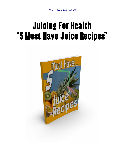# Juicing For Health "5 Must Have Juice Recipes"

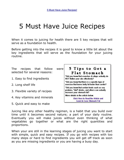# 5 Must Have Juice Recipes

When it comes to juicing for health there are 5 key recipes that will serve as a foundation to health.

Before getting into the recipes it is good to know a little bit about the key ingredients that will serve as the foundation for your juicing routine.

ъ

| The recipes that follow<br>were<br>selected for several reasons: | 5 Tips to Get a<br>Flat Stomach                                                                                              |
|------------------------------------------------------------------|------------------------------------------------------------------------------------------------------------------------------|
| 1. Easy to find ingredients                                      | *Did you know that crunches & situps actually do<br>NOT flatten your abs effectively?                                        |
| 2. Long shelf life                                               | *Did you know that there is a specific type of<br>exercise that burns belly fat faster than cardio?                          |
| 3. Flexible variety of recipes                                   | *Did you know that certain foods such as soy<br>proteins, diet drinks, and others can actually<br>increase your stomach fat? |
| 4. Key vitamins and minerals                                     | More details in the article below.<br><b>Click Here to Read the Article and</b><br><b>Learn to Lose Stomach Fat</b>          |
| 5. Quick and easy to make                                        |                                                                                                                              |

Juicing like any other healthy regimen, is a habit that you build over time until it becomes second nature; a part of your daily routine. Eventually you will make juices without even thinking of what vegetables go together or what are the right quantities and proportions.

When your are still in the learning stages of juicing you want to start with simple, quick and easy recipes. If you go with recipes with too many steps or hard to find ingredients you will get off track as soon as you are missing ingredients or you are having a busy day.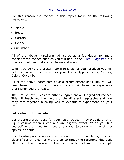For this reason the recipes in this report focus on the following ingredients:

- Apples
- Beets
- Carrots
- Celery
- Cucumber

All of the above ingredients will serve as a foundation for more sophisticated recipes such as you will find in the Juice [Suggester,](http://www.the-natural-path.com/juice-suggester.html) but they also help you get started in several ways.

When you go to the grocery store to shop for your produce you will not need a list. Just remember your ABC's. Apples, Beets, Carrots, Celery, Cucumber.

All of the above ingredients have a pretty decent shelf life. You will need fewer trips to the grocery store and will have the ingredients there when you are ready.

The 5 must have juices are either 2 ingredient or 3 ingredient recipes. This will teach you the flavors of the different vegetables and how they mix together, allowing you to eventually experiment on your own.

#### **Let's start with carrots**:

Carrots are a great base for your juice recipes. They provide a lot of liquid volume when juiced and are slightly sweet. When you find yourself in the mood for more of a sweet juice go with carrots, or apples, or both!

Carrots also provide an excellent source of nutrition. An eight ounce glass of carrot juice has more than 10 times the recommended daily allowance of vitamin A as well as the equivalent vitamin C of a couple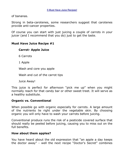of bananas.

Strong in beta-carotenes, some researchers suggest that carotenes provide anti-cancer properties.

Of course you can start with just juicing a couple of carrots in your juicer (and I recommend that you do) just to get the taste.

#### **Must Have Juice Recipe #1**

### **Carrot- Apple Juice**

6 Carrots

1 Apple

Wash and core you apple

Wash and cut of the carrot tips

Juice Away!

This juice is perfect for afternoon "pick me up" when you might normally reach for that candy bar or other sweet treet. It will serve as a healthy substitute.

# **Organic vs. Conventional**

When possible go with organic especially for carrots. A large amount of the nutrients lie right under the vegetable skin. By choosing organic you will only have to wash your carrots before juicing.

Conventional produce runs the risk of a pesticide covered surface that should really be peeled before juicing, causing you to miss out on the full benefits.

#### **How about them apples?**

You have heard about the old expression that "an apple a day keeps the doctor away" - well the next recipe "Doctor's Secret" combines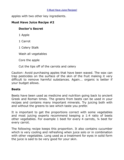apples with two other key ingredients.

#### **Must Have Juice Recipe #2**

#### **Doctor's Secret**

1 Apple

1 Carrot

1 Celery Stalk

Wash all vegetables

Core the apple

Cut the tips off of the carrots and celery

Caution: Avoid purchasing apples that have been waxed. The wax can trap pesticides on the surface of the skin of the fruit making it very difficult to remove harmful substances. Again... organic is better if your budget allows.

#### **Beets**

Beets have been used as medicine and nutrition going back to ancient Greek and Roman times. The greens from beets can be used in your recipes and contains many important minerals. Try juicing both with and without the greens to see which taste you prefer.

It is important to get the proportions correct with some vegetables and most juicing experts recommend keeping a 1:4 ratio of beets other vegetables. For example 1 beet for every 4 carrots, ¼ beet for every carrot.

The following recipe keeps this proportion. It also contains cucumber which is very cooling and refreshing when juice solo or in combination with other vegetables. Long used as a treatment for eyes in solid form the juice is said to be very good for your skin.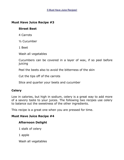#### **Must Have Juice Recipe #3**

#### **Street Beet**

4 Carrots

½ Cucumber

1 Beet

Wash all vegetables

Cucumbers can be covered in a layer of wax, if so peel before juicing

Peel the beets also to avoid the bitterness of the skin

Cut the tips off of the carrots

Slice and quarter your beets and cucumber

#### **Celery**

Low in calories, but high in sodium, celery is a great way to add more of a savory taste to your juices. The following two recipes use celery to balance out the sweetness of the other ingredients.

This recipe is a great one when you are pressed for time.

#### **Must Have Juice Recipe #4**

#### **Afternoon Delight**

- 1 stalk of celery
- 1 apple

Wash all vegetables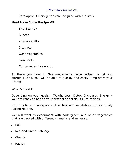Core apple. Celery greens can be juice with the stalk

# **Must Have Juice Recipe #5**

# **The Stalker**

¼ beet

2 celery stalks

2 carrots

Wash vegetables

Skin beets

Cut carrot and celery tips

So there you have it! Five fundamental juice recipes to get you started juicing. You will be able to quickly and easily jump start your juicing.

# **What's next?**

Depending on your goals... Weight Loss, Detox, Increased Energy you are ready to add to your arsenal of delicious juice recipes.

Now it is time to incorporate other fruit and vegetables into your daily juicing routine.

You will want to experiment with dark green, and other vegetables that are packed with different vitimains and minerals.

- Kale
- Red and Green Cabbage
- Chards
- Radish